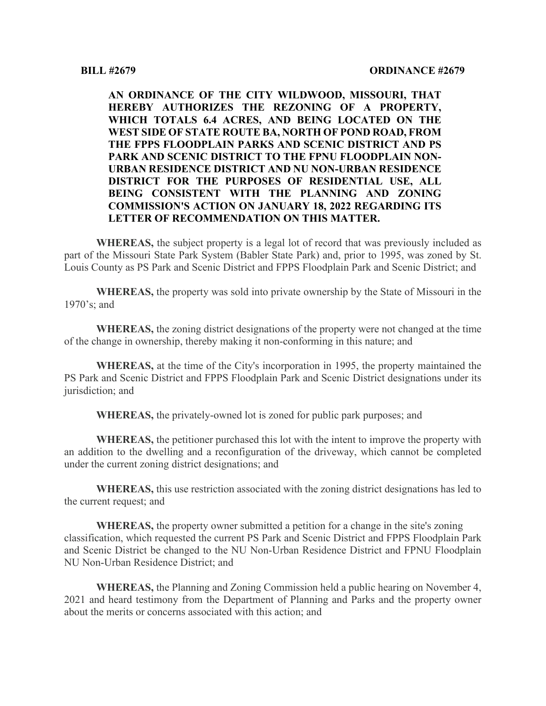**AN ORDINANCE OF THE CITY WILDWOOD, MISSOURI, THAT HEREBY AUTHORIZES THE REZONING OF A PROPERTY, WHICH TOTALS 6.4 ACRES, AND BEING LOCATED ON THE WEST SIDE OF STATE ROUTE BA, NORTH OF POND ROAD, FROM THE FPPS FLOODPLAIN PARKS AND SCENIC DISTRICT AND PS PARK AND SCENIC DISTRICT TO THE FPNU FLOODPLAIN NON-URBAN RESIDENCE DISTRICT AND NU NON-URBAN RESIDENCE DISTRICT FOR THE PURPOSES OF RESIDENTIAL USE, ALL BEING CONSISTENT WITH THE PLANNING AND ZONING COMMISSION'S ACTION ON JANUARY 18, 2022 REGARDING ITS LETTER OF RECOMMENDATION ON THIS MATTER.**

**WHEREAS,** the subject property is a legal lot of record that was previously included as part of the Missouri State Park System (Babler State Park) and, prior to 1995, was zoned by St. Louis County as PS Park and Scenic District and FPPS Floodplain Park and Scenic District; and

**WHEREAS,** the property was sold into private ownership by the State of Missouri in the 1970's; and

**WHEREAS,** the zoning district designations of the property were not changed at the time of the change in ownership, thereby making it non-conforming in this nature; and

**WHEREAS,** at the time of the City's incorporation in 1995, the property maintained the PS Park and Scenic District and FPPS Floodplain Park and Scenic District designations under its jurisdiction; and

**WHEREAS,** the privately-owned lot is zoned for public park purposes; and

**WHEREAS,** the petitioner purchased this lot with the intent to improve the property with an addition to the dwelling and a reconfiguration of the driveway, which cannot be completed under the current zoning district designations; and

**WHEREAS,** this use restriction associated with the zoning district designations has led to the current request; and

**WHEREAS,** the property owner submitted a petition for a change in the site's zoning classification, which requested the current PS Park and Scenic District and FPPS Floodplain Park and Scenic District be changed to the NU Non-Urban Residence District and FPNU Floodplain NU Non-Urban Residence District; and

**WHEREAS,** the Planning and Zoning Commission held a public hearing on November 4, 2021 and heard testimony from the Department of Planning and Parks and the property owner about the merits or concerns associated with this action; and